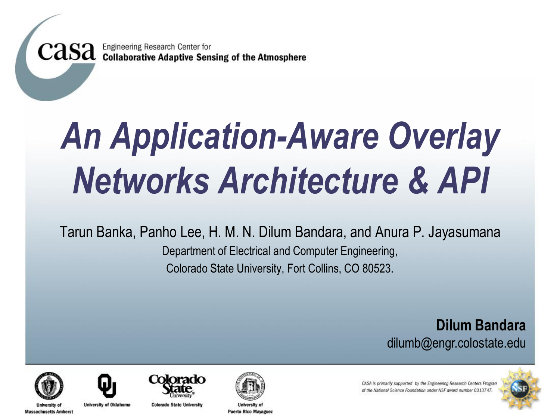**CASA** Engineering Research Center for<br>CASA Collaborative Adaptive Sensing of the Atmosphere

# *An Application-Aware Overlay Networks Architecture & API*

Tarun Banka, Panho Lee, H. M. N. Dilum Bandara, and Anura P. Jayasumana Department of Electrical and Computer Engineering, Colorado State University, Fort Collins, CO 80523.

> **Dilum Bandara** dilumb@engr.colostate.edu



liniversity of **Massachusetts Amherst** 



**University of Oklahoma** 



**Colorado State University** 



**Puerto Rico Mayaguez** 

CASA is primarily supported by the Engineering Research Centers Program of the National Science Foundation under NSF award number 0313747

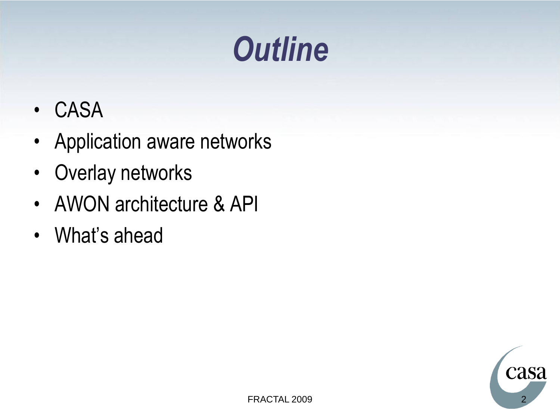#### *Outline*

- CASA
- Application aware networks
- Overlay networks
- AWON architecture & API
- What's ahead

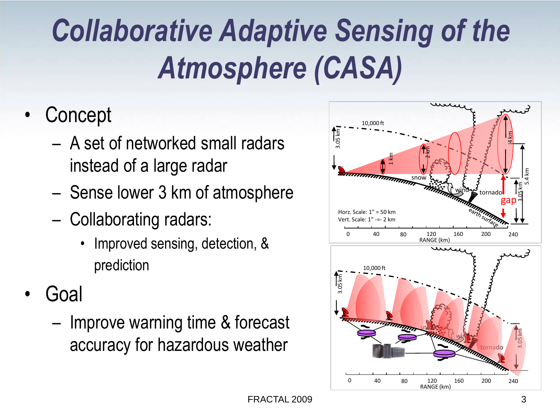#### *Collaborative Adaptive Sensing of the Atmosphere (CASA)*

- Concept
	- A set of networked small radars instead of a large radar
	- Sense lower 3 km of atmosphere
	- Collaborating radars:
		- Improved sensing, detection, & prediction
- Goal
	- Improve warning time & forecast accuracy for hazardous weather

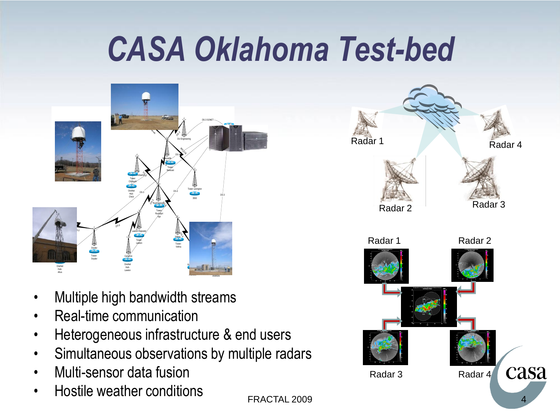## *CASA Oklahoma Test-bed*



- Multiple high bandwidth streams
- Real-time communication
- Heterogeneous infrastructure & end users
- Simultaneous observations by multiple radars
- Multi-sensor data fusion
- Hostile weather conditions

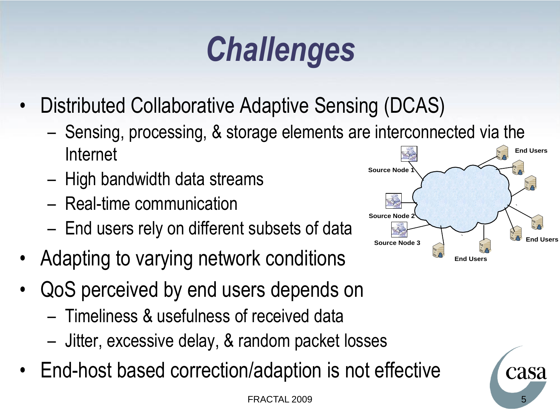## *Challenges*

- Distributed Collaborative Adaptive Sensing (DCAS)
	- Sensing, processing, & storage elements are interconnected via the Internet
	- High bandwidth data streams
	- Real-time communication
	- End users rely on different subsets of data
- Adapting to varying network conditions
- QoS perceived by end users depends on
	- Timeliness & usefulness of received data
	- Jitter, excessive delay, & random packet losses
- End-host based correction/adaption is not effective



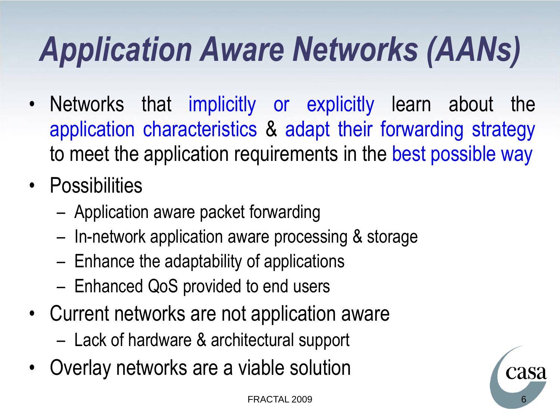## *Application Aware Networks (AANs)*

- Networks that implicitly or explicitly learn about the application characteristics & adapt their forwarding strategy to meet the application requirements in the best possible way
- Possibilities
	- Application aware packet forwarding
	- In-network application aware processing & storage
	- Enhance the adaptability of applications
	- Enhanced QoS provided to end users
- Current networks are not application aware
	- Lack of hardware & architectural support
- Overlay networks are a viable solution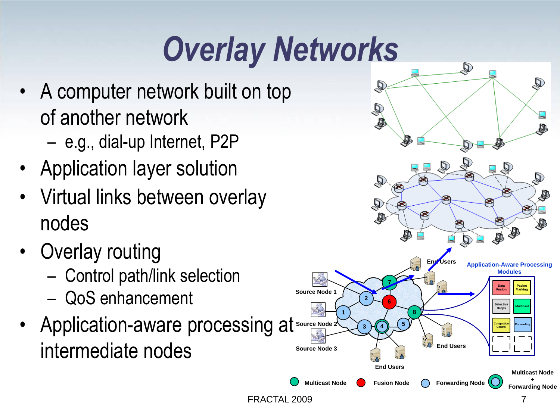## *Overlay Networks*

- A computer network built on top of another network
	- e.g., dial-up Internet, P2P
- Application layer solution
- Virtual links between overlay nodes
- Overlay routing
	- Control path/link selection – QoS enhancement
- Application-aware processing at intermediate nodes

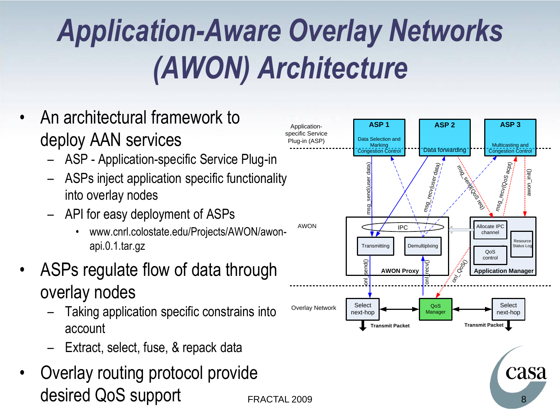#### *Application-Aware Overlay Networks (AWON) Architecture*

- An architectural framework to deploy AAN services
	- ASP Application-specific Service Plug-in
	- ASPs inject application specific functionality into overlay nodes
	- API for easy deployment of ASPs
		- www.cnrl.colostate.edu/Projects/AWON/awonapi.0.1.tar.gz
- ASPs regulate flow of data through overlay nodes
	- Taking application specific constrains into account
	- Extract, select, fuse, & repack data
- Overlay routing protocol provide



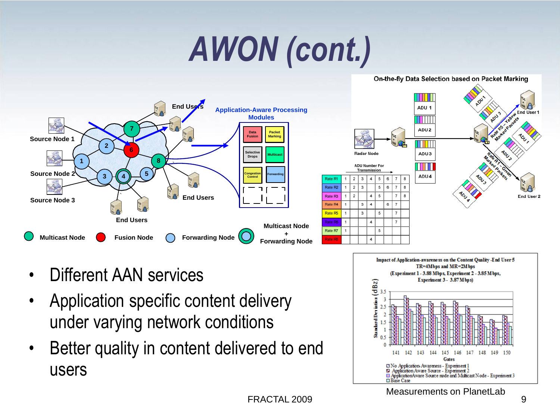## *AWON (cont.)*

#### **End Users Application-Aware Processing Modules 7 Data Backet**<br>**Fusion Marking Packet Source Node 1 2 6 Selective Drops 8 (8) Source Node 2 5 Congestion Control 3 4 Forwarding** Rate R Rate R2 ` **End Users** Rate R3 **Source Node 3** Rate R4 Rate R5 **End Users** Rate R6 **Multicast Node Fusion Node Forwarding Node Multicast Node <sup>+</sup> Forwarding Node** Rate R7 ate R8



On-the-fly Data Selection based on Packet Marking

- Different AAN services
- Application specific content delivery under varying network conditions
- Better quality in content delivered to end users

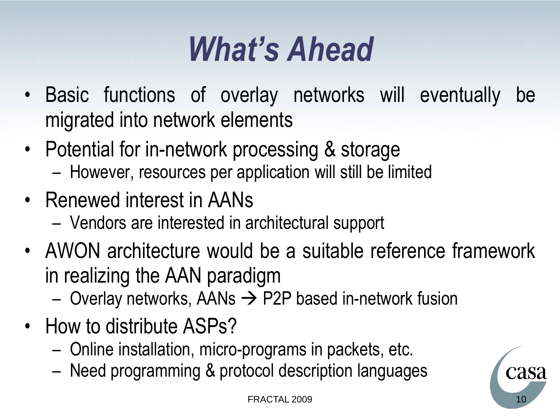#### *What's Ahead*

- Basic functions of overlay networks will eventually be migrated into network elements
- Potential for in-network processing & storage
	- However, resources per application will still be limited
- Renewed interest in AANs
	- Vendors are interested in architectural support
- AWON architecture would be a suitable reference framework in realizing the AAN paradigm
	- Overlay networks, AANs  $\rightarrow$  P2P based in-network fusion
- How to distribute ASPs?
	- Online installation, micro-programs in packets, etc.
	- Need programming & protocol description languages

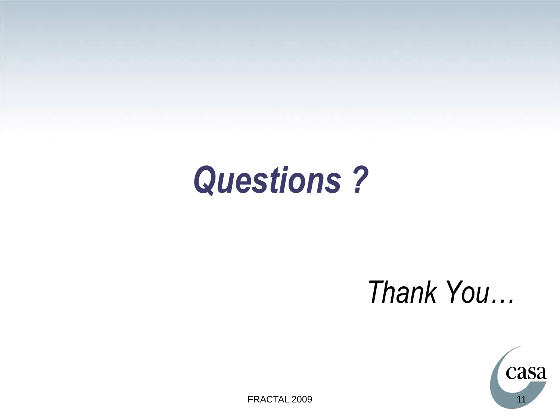#### *Questions ?*

#### *Thank You…*



FRACTAL 2009